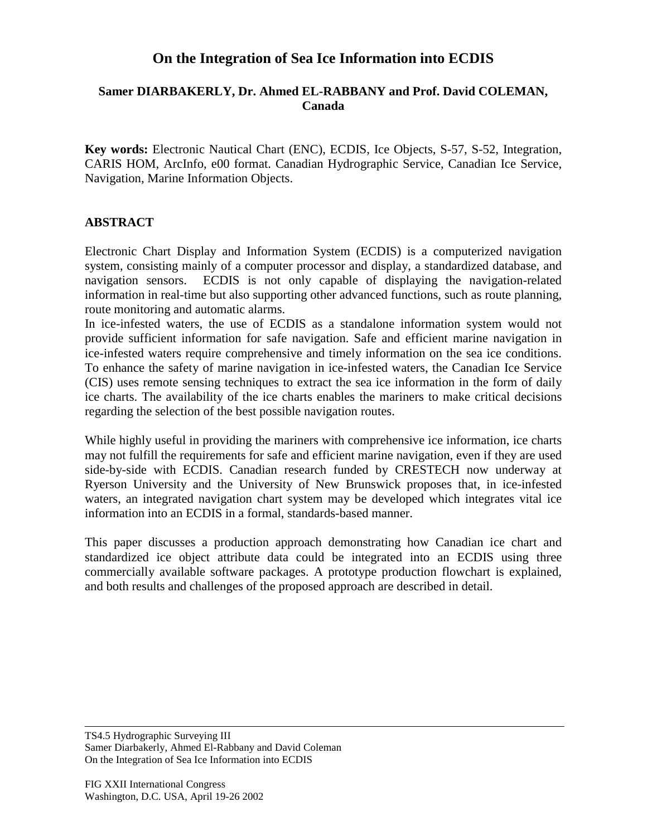## **On the Integration of Sea Ice Information into ECDIS**

## **Samer DIARBAKERLY, Dr. Ahmed EL-RABBANY and Prof. David COLEMAN, Canada**

**Key words:** Electronic Nautical Chart (ENC), ECDIS, Ice Objects, S-57, S-52, Integration, CARIS HOM, ArcInfo, e00 format. Canadian Hydrographic Service, Canadian Ice Service, Navigation, Marine Information Objects.

## **ABSTRACT**

Electronic Chart Display and Information System (ECDIS) is a computerized navigation system, consisting mainly of a computer processor and display, a standardized database, and navigation sensors. ECDIS is not only capable of displaying the navigation-related information in real-time but also supporting other advanced functions, such as route planning, route monitoring and automatic alarms.

In ice-infested waters, the use of ECDIS as a standalone information system would not provide sufficient information for safe navigation. Safe and efficient marine navigation in ice-infested waters require comprehensive and timely information on the sea ice conditions. To enhance the safety of marine navigation in ice-infested waters, the Canadian Ice Service (CIS) uses remote sensing techniques to extract the sea ice information in the form of daily ice charts. The availability of the ice charts enables the mariners to make critical decisions regarding the selection of the best possible navigation routes.

While highly useful in providing the mariners with comprehensive ice information, ice charts may not fulfill the requirements for safe and efficient marine navigation, even if they are used side-by-side with ECDIS. Canadian research funded by CRESTECH now underway at Ryerson University and the University of New Brunswick proposes that, in ice-infested waters, an integrated navigation chart system may be developed which integrates vital ice information into an ECDIS in a formal, standards-based manner.

This paper discusses a production approach demonstrating how Canadian ice chart and standardized ice object attribute data could be integrated into an ECDIS using three commercially available software packages. A prototype production flowchart is explained, and both results and challenges of the proposed approach are described in detail.

TS4.5 Hydrographic Surveying III Samer Diarbakerly, Ahmed El-Rabbany and David Coleman On the Integration of Sea Ice Information into ECDIS